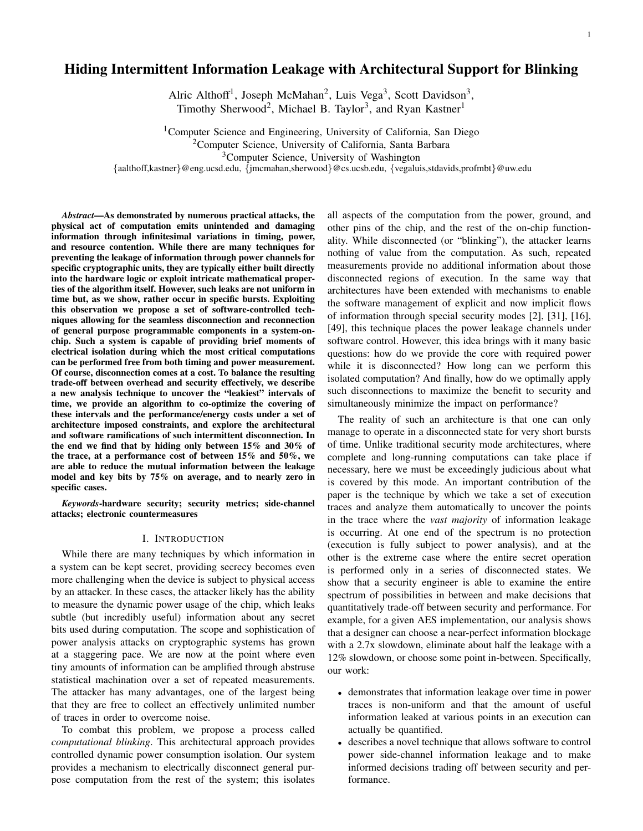# Hiding Intermittent Information Leakage with Architectural Support for Blinking

Alric Althoff<sup>1</sup>, Joseph McMahan<sup>2</sup>, Luis Vega<sup>3</sup>, Scott Davidson<sup>3</sup>, Timothy Sherwood<sup>2</sup>, Michael B. Taylor<sup>3</sup>, and Ryan Kastner<sup>1</sup>

<sup>1</sup>Computer Science and Engineering, University of California, San Diego <sup>2</sup>Computer Science, University of California, Santa Barbara <sup>3</sup>Computer Science, University of Washington

{aalthoff,kastner}@eng.ucsd.edu, {jmcmahan,sherwood}@cs.ucsb.edu, {vegaluis,stdavids,profmbt}@uw.edu

*Abstract*—As demonstrated by numerous practical attacks, the physical act of computation emits unintended and damaging information through infinitesimal variations in timing, power, and resource contention. While there are many techniques for preventing the leakage of information through power channels for specific cryptographic units, they are typically either built directly into the hardware logic or exploit intricate mathematical properties of the algorithm itself. However, such leaks are not uniform in time but, as we show, rather occur in specific bursts. Exploiting this observation we propose a set of software-controlled techniques allowing for the seamless disconnection and reconnection of general purpose programmable components in a system-onchip. Such a system is capable of providing brief moments of electrical isolation during which the most critical computations can be performed free from both timing and power measurement. Of course, disconnection comes at a cost. To balance the resulting trade-off between overhead and security effectively, we describe a new analysis technique to uncover the "leakiest" intervals of time, we provide an algorithm to co-optimize the covering of these intervals and the performance/energy costs under a set of architecture imposed constraints, and explore the architectural and software ramifications of such intermittent disconnection. In the end we find that by hiding only between 15% and 30% of the trace, at a performance cost of between 15% and 50%, we are able to reduce the mutual information between the leakage model and key bits by 75% on average, and to nearly zero in specific cases.

*Keywords*-hardware security; security metrics; side-channel attacks; electronic countermeasures

#### I. INTRODUCTION

While there are many techniques by which information in a system can be kept secret, providing secrecy becomes even more challenging when the device is subject to physical access by an attacker. In these cases, the attacker likely has the ability to measure the dynamic power usage of the chip, which leaks subtle (but incredibly useful) information about any secret bits used during computation. The scope and sophistication of power analysis attacks on cryptographic systems has grown at a staggering pace. We are now at the point where even tiny amounts of information can be amplified through abstruse statistical machination over a set of repeated measurements. The attacker has many advantages, one of the largest being that they are free to collect an effectively unlimited number of traces in order to overcome noise.

To combat this problem, we propose a process called *computational blinking*. This architectural approach provides controlled dynamic power consumption isolation. Our system provides a mechanism to electrically disconnect general purpose computation from the rest of the system; this isolates all aspects of the computation from the power, ground, and other pins of the chip, and the rest of the on-chip functionality. While disconnected (or "blinking"), the attacker learns nothing of value from the computation. As such, repeated measurements provide no additional information about those disconnected regions of execution. In the same way that architectures have been extended with mechanisms to enable the software management of explicit and now implicit flows of information through special security modes [2], [31], [16], [49], this technique places the power leakage channels under software control. However, this idea brings with it many basic questions: how do we provide the core with required power while it is disconnected? How long can we perform this isolated computation? And finally, how do we optimally apply such disconnections to maximize the benefit to security and simultaneously minimize the impact on performance?

The reality of such an architecture is that one can only manage to operate in a disconnected state for very short bursts of time. Unlike traditional security mode architectures, where complete and long-running computations can take place if necessary, here we must be exceedingly judicious about what is covered by this mode. An important contribution of the paper is the technique by which we take a set of execution traces and analyze them automatically to uncover the points in the trace where the *vast majority* of information leakage is occurring. At one end of the spectrum is no protection (execution is fully subject to power analysis), and at the other is the extreme case where the entire secret operation is performed only in a series of disconnected states. We show that a security engineer is able to examine the entire spectrum of possibilities in between and make decisions that quantitatively trade-off between security and performance. For example, for a given AES implementation, our analysis shows that a designer can choose a near-perfect information blockage with a 2.7x slowdown, eliminate about half the leakage with a 12% slowdown, or choose some point in-between. Specifically, our work:

- demonstrates that information leakage over time in power traces is non-uniform and that the amount of useful information leaked at various points in an execution can actually be quantified.
- describes a novel technique that allows software to control power side-channel information leakage and to make informed decisions trading off between security and performance.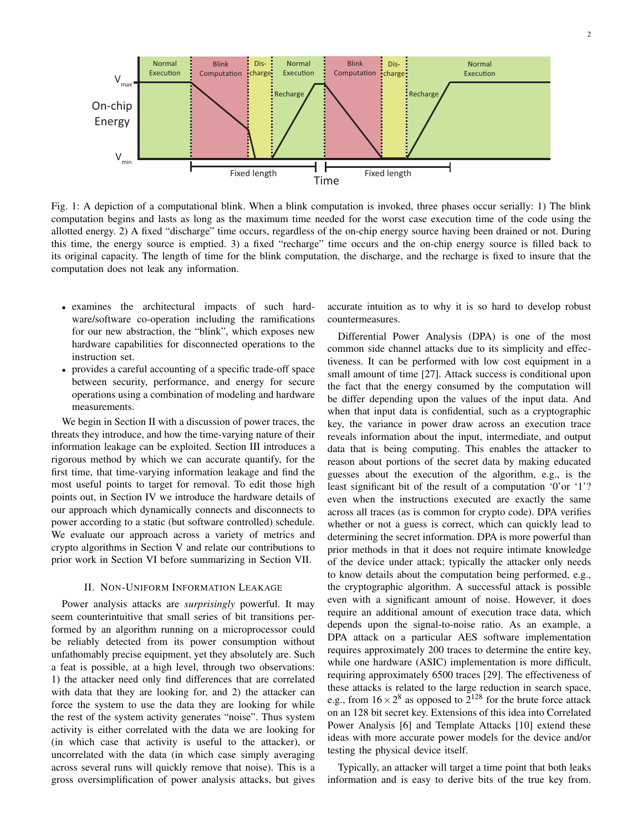

Fig. 1: A depiction of a computational blink. When a blink computation is invoked, three phases occur serially: 1) The blink computation begins and lasts as long as the maximum time needed for the worst case execution time of the code using the allotted energy. 2) A fixed "discharge" time occurs, regardless of the on-chip energy source having been drained or not. During this time, the energy source is emptied. 3) a fixed "recharge" time occurs and the on-chip energy source is filled back to its original capacity. The length of time for the blink computation, the discharge, and the recharge is fixed to insure that the computation does not leak any information.

- examines the architectural impacts of such hardware/software co-operation including the ramifications for our new abstraction, the "blink", which exposes new hardware capabilities for disconnected operations to the instruction set.
- provides a careful accounting of a specific trade-off space between security, performance, and energy for secure operations using a combination of modeling and hardware measurements.

We begin in Section II with a discussion of power traces, the threats they introduce, and how the time-varying nature of their information leakage can be exploited. Section III introduces a rigorous method by which we can accurate quantify, for the first time, that time-varying information leakage and find the most useful points to target for removal. To edit those high points out, in Section IV we introduce the hardware details of our approach which dynamically connects and disconnects to power according to a static (but software controlled) schedule. We evaluate our approach across a variety of metrics and crypto algorithms in Section V and relate our contributions to prior work in Section VI before summarizing in Section VII.

### II. NON-UNIFORM INFORMATION LEAKAGE

Power analysis attacks are *surprisingly* powerful. It may seem counterintuitive that small series of bit transitions performed by an algorithm running on a microprocessor could be reliably detected from its power consumption without unfathomably precise equipment, yet they absolutely are. Such a feat is possible, at a high level, through two observations: 1) the attacker need only find differences that are correlated with data that they are looking for, and 2) the attacker can force the system to use the data they are looking for while the rest of the system activity generates "noise". Thus system activity is either correlated with the data we are looking for (in which case that activity is useful to the attacker), or uncorrelated with the data (in which case simply averaging across several runs will quickly remove that noise). This is a gross oversimplification of power analysis attacks, but gives

accurate intuition as to why it is so hard to develop robust countermeasures.

Differential Power Analysis (DPA) is one of the most common side channel attacks due to its simplicity and effectiveness. It can be performed with low cost equipment in a small amount of time [27]. Attack success is conditional upon the fact that the energy consumed by the computation will be differ depending upon the values of the input data. And when that input data is confidential, such as a cryptographic key, the variance in power draw across an execution trace reveals information about the input, intermediate, and output data that is being computing. This enables the attacker to reason about portions of the secret data by making educated guesses about the execution of the algorithm, e.g., is the least significant bit of the result of a computation '0'or '1'? even when the instructions executed are exactly the same across all traces (as is common for crypto code). DPA verifies whether or not a guess is correct, which can quickly lead to determining the secret information. DPA is more powerful than prior methods in that it does not require intimate knowledge of the device under attack; typically the attacker only needs to know details about the computation being performed, e.g., the cryptographic algorithm. A successful attack is possible even with a significant amount of noise. However, it does require an additional amount of execution trace data, which depends upon the signal-to-noise ratio. As an example, a DPA attack on a particular AES software implementation requires approximately 200 traces to determine the entire key, while one hardware (ASIC) implementation is more difficult, requiring approximately 6500 traces [29]. The effectiveness of these attacks is related to the large reduction in search space, e.g., from  $16 \times 2^8$  as opposed to  $2^{128}$  for the brute force attack on an 128 bit secret key. Extensions of this idea into Correlated Power Analysis [6] and Template Attacks [10] extend these ideas with more accurate power models for the device and/or testing the physical device itself.

Typically, an attacker will target a time point that both leaks information and is easy to derive bits of the true key from.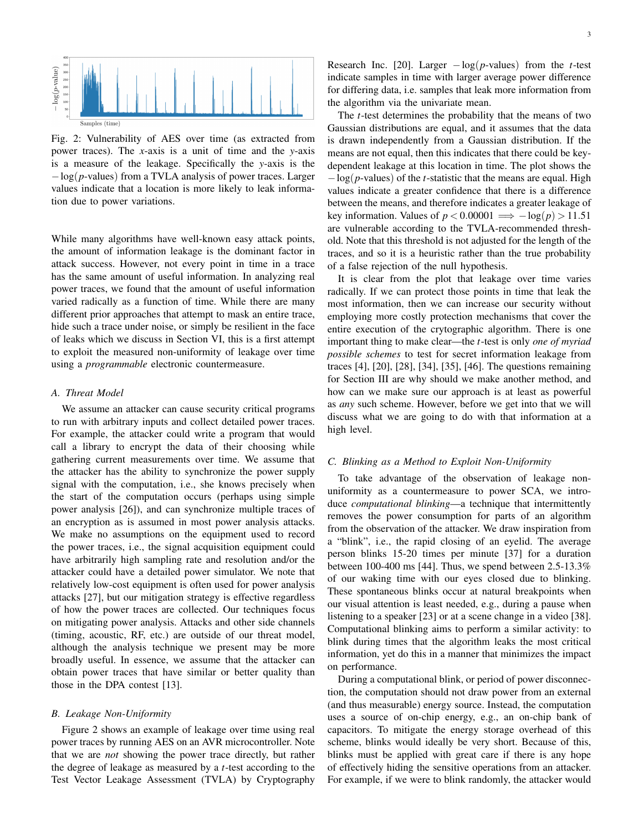

Fig. 2: Vulnerability of AES over time (as extracted from power traces). The *x*-axis is a unit of time and the *y*-axis is a measure of the leakage. Specifically the *y*-axis is the −log(*p*-values) from a TVLA analysis of power traces. Larger values indicate that a location is more likely to leak information due to power variations.

While many algorithms have well-known easy attack points, the amount of information leakage is the dominant factor in attack success. However, not every point in time in a trace has the same amount of useful information. In analyzing real power traces, we found that the amount of useful information varied radically as a function of time. While there are many different prior approaches that attempt to mask an entire trace, hide such a trace under noise, or simply be resilient in the face of leaks which we discuss in Section VI, this is a first attempt to exploit the measured non-uniformity of leakage over time using a *programmable* electronic countermeasure.

## *A. Threat Model*

We assume an attacker can cause security critical programs to run with arbitrary inputs and collect detailed power traces. For example, the attacker could write a program that would call a library to encrypt the data of their choosing while gathering current measurements over time. We assume that the attacker has the ability to synchronize the power supply signal with the computation, i.e., she knows precisely when the start of the computation occurs (perhaps using simple power analysis [26]), and can synchronize multiple traces of an encryption as is assumed in most power analysis attacks. We make no assumptions on the equipment used to record the power traces, i.e., the signal acquisition equipment could have arbitrarily high sampling rate and resolution and/or the attacker could have a detailed power simulator. We note that relatively low-cost equipment is often used for power analysis attacks [27], but our mitigation strategy is effective regardless of how the power traces are collected. Our techniques focus on mitigating power analysis. Attacks and other side channels (timing, acoustic, RF, etc.) are outside of our threat model, although the analysis technique we present may be more broadly useful. In essence, we assume that the attacker can obtain power traces that have similar or better quality than those in the DPA contest [13].

# *B. Leakage Non-Uniformity*

Figure 2 shows an example of leakage over time using real power traces by running AES on an AVR microcontroller. Note that we are *not* showing the power trace directly, but rather the degree of leakage as measured by a *t*-test according to the Test Vector Leakage Assessment (TVLA) by Cryptography Research Inc. [20]. Larger  $-\log(p$ -values) from the *t*-test indicate samples in time with larger average power difference for differing data, i.e. samples that leak more information from the algorithm via the univariate mean.

The *t*-test determines the probability that the means of two Gaussian distributions are equal, and it assumes that the data is drawn independently from a Gaussian distribution. If the means are not equal, then this indicates that there could be keydependent leakage at this location in time. The plot shows the −log(*p*-values) of the *t*-statistic that the means are equal. High values indicate a greater confidence that there is a difference between the means, and therefore indicates a greater leakage of key information. Values of  $p < 0.00001 \implies -\log(p) > 11.51$ are vulnerable according to the TVLA-recommended threshold. Note that this threshold is not adjusted for the length of the traces, and so it is a heuristic rather than the true probability of a false rejection of the null hypothesis.

It is clear from the plot that leakage over time varies radically. If we can protect those points in time that leak the most information, then we can increase our security without employing more costly protection mechanisms that cover the entire execution of the crytographic algorithm. There is one important thing to make clear—the *t*-test is only *one of myriad possible schemes* to test for secret information leakage from traces [4], [20], [28], [34], [35], [46]. The questions remaining for Section III are why should we make another method, and how can we make sure our approach is at least as powerful as *any* such scheme. However, before we get into that we will discuss what we are going to do with that information at a high level.

#### *C. Blinking as a Method to Exploit Non-Uniformity*

To take advantage of the observation of leakage nonuniformity as a countermeasure to power SCA, we introduce *computational blinking*—a technique that intermittently removes the power consumption for parts of an algorithm from the observation of the attacker. We draw inspiration from a "blink", i.e., the rapid closing of an eyelid. The average person blinks 15-20 times per minute [37] for a duration between 100-400 ms [44]. Thus, we spend between 2.5-13.3% of our waking time with our eyes closed due to blinking. These spontaneous blinks occur at natural breakpoints when our visual attention is least needed, e.g., during a pause when listening to a speaker [23] or at a scene change in a video [38]. Computational blinking aims to perform a similar activity: to blink during times that the algorithm leaks the most critical information, yet do this in a manner that minimizes the impact on performance.

During a computational blink, or period of power disconnection, the computation should not draw power from an external (and thus measurable) energy source. Instead, the computation uses a source of on-chip energy, e.g., an on-chip bank of capacitors. To mitigate the energy storage overhead of this scheme, blinks would ideally be very short. Because of this, blinks must be applied with great care if there is any hope of effectively hiding the sensitive operations from an attacker. For example, if we were to blink randomly, the attacker would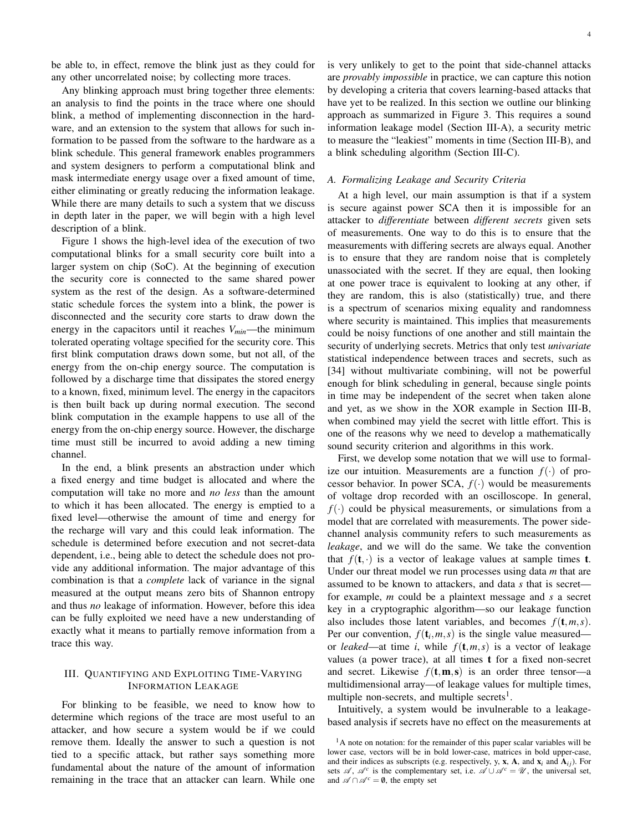be able to, in effect, remove the blink just as they could for any other uncorrelated noise; by collecting more traces.

Any blinking approach must bring together three elements: an analysis to find the points in the trace where one should blink, a method of implementing disconnection in the hardware, and an extension to the system that allows for such information to be passed from the software to the hardware as a blink schedule. This general framework enables programmers and system designers to perform a computational blink and mask intermediate energy usage over a fixed amount of time, either eliminating or greatly reducing the information leakage. While there are many details to such a system that we discuss in depth later in the paper, we will begin with a high level description of a blink.

Figure 1 shows the high-level idea of the execution of two computational blinks for a small security core built into a larger system on chip (SoC). At the beginning of execution the security core is connected to the same shared power system as the rest of the design. As a software-determined static schedule forces the system into a blink, the power is disconnected and the security core starts to draw down the energy in the capacitors until it reaches *Vmin*—the minimum tolerated operating voltage specified for the security core. This first blink computation draws down some, but not all, of the energy from the on-chip energy source. The computation is followed by a discharge time that dissipates the stored energy to a known, fixed, minimum level. The energy in the capacitors is then built back up during normal execution. The second blink computation in the example happens to use all of the energy from the on-chip energy source. However, the discharge time must still be incurred to avoid adding a new timing channel.

In the end, a blink presents an abstraction under which a fixed energy and time budget is allocated and where the computation will take no more and *no less* than the amount to which it has been allocated. The energy is emptied to a fixed level—otherwise the amount of time and energy for the recharge will vary and this could leak information. The schedule is determined before execution and not secret-data dependent, i.e., being able to detect the schedule does not provide any additional information. The major advantage of this combination is that a *complete* lack of variance in the signal measured at the output means zero bits of Shannon entropy and thus *no* leakage of information. However, before this idea can be fully exploited we need have a new understanding of exactly what it means to partially remove information from a trace this way.

# III. QUANTIFYING AND EXPLOITING TIME-VARYING INFORMATION LEAKAGE

For blinking to be feasible, we need to know how to determine which regions of the trace are most useful to an attacker, and how secure a system would be if we could remove them. Ideally the answer to such a question is not tied to a specific attack, but rather says something more fundamental about the nature of the amount of information remaining in the trace that an attacker can learn. While one

is very unlikely to get to the point that side-channel attacks are *provably impossible* in practice, we can capture this notion by developing a criteria that covers learning-based attacks that have yet to be realized. In this section we outline our blinking approach as summarized in Figure 3. This requires a sound information leakage model (Section III-A), a security metric to measure the "leakiest" moments in time (Section III-B), and a blink scheduling algorithm (Section III-C).

# *A. Formalizing Leakage and Security Criteria*

At a high level, our main assumption is that if a system is secure against power SCA then it is impossible for an attacker to *differentiate* between *different secrets* given sets of measurements. One way to do this is to ensure that the measurements with differing secrets are always equal. Another is to ensure that they are random noise that is completely unassociated with the secret. If they are equal, then looking at one power trace is equivalent to looking at any other, if they are random, this is also (statistically) true, and there is a spectrum of scenarios mixing equality and randomness where security is maintained. This implies that measurements could be noisy functions of one another and still maintain the security of underlying secrets. Metrics that only test *univariate* statistical independence between traces and secrets, such as [34] without multivariate combining, will not be powerful enough for blink scheduling in general, because single points in time may be independent of the secret when taken alone and yet, as we show in the XOR example in Section III-B, when combined may yield the secret with little effort. This is one of the reasons why we need to develop a mathematically sound security criterion and algorithms in this work.

First, we develop some notation that we will use to formalize our intuition. Measurements are a function  $f(\cdot)$  of processor behavior. In power SCA,  $f(\cdot)$  would be measurements of voltage drop recorded with an oscilloscope. In general,  $f(\cdot)$  could be physical measurements, or simulations from a model that are correlated with measurements. The power sidechannel analysis community refers to such measurements as *leakage*, and we will do the same. We take the convention that  $f(t, \cdot)$  is a vector of leakage values at sample times **t**. Under our threat model we run processes using data *m* that are assumed to be known to attackers, and data *s* that is secret for example, *m* could be a plaintext message and *s* a secret key in a cryptographic algorithm—so our leakage function also includes those latent variables, and becomes  $f(t, m, s)$ . Per our convention,  $f(t_i, m, s)$  is the single value measured or *leaked*—at time *i*, while  $f(t, m, s)$  is a vector of leakage values (a power trace), at all times t for a fixed non-secret and secret. Likewise  $f(t, \mathbf{m}, s)$  is an order three tensor—a multidimensional array—of leakage values for multiple times, multiple non-secrets, and multiple secrets<sup>1</sup>.

Intuitively, a system would be invulnerable to a leakagebased analysis if secrets have no effect on the measurements at

<sup>&</sup>lt;sup>1</sup>A note on notation: for the remainder of this paper scalar variables will be lower case, vectors will be in bold lower-case, matrices in bold upper-case, and their indices as subscripts (e.g. respectively, y, **x**, **A**, and  $\mathbf{x}_i$  and  $\mathbf{A}_{ij}$ ). For sets  $\mathscr{A}, \mathscr{A}^c$  is the complementary set, i.e.  $\mathscr{A} \cup \mathscr{A}^c = \mathscr{U}$ , the universal set, and  $\mathscr{A} \cap \mathscr{A}^c = \emptyset$ , the empty set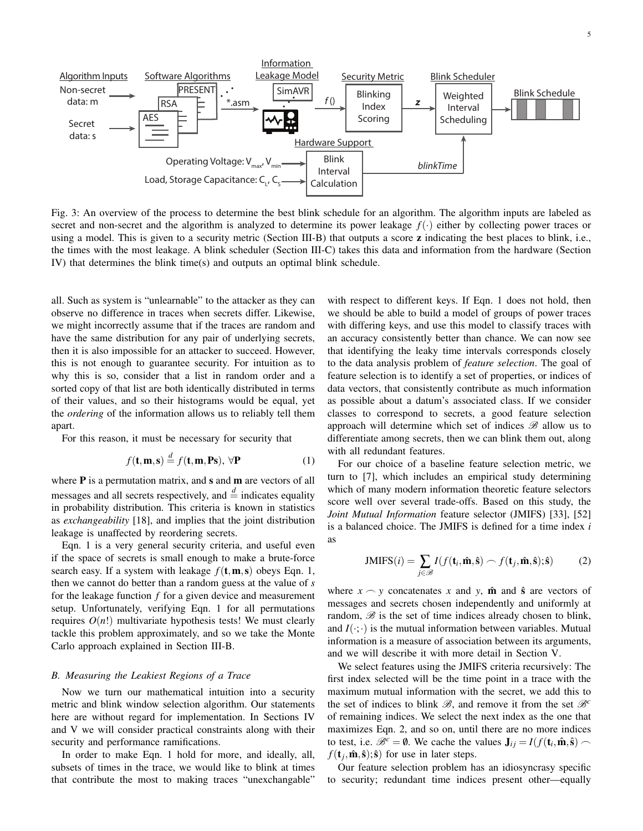

Fig. 3: An overview of the process to determine the best blink schedule for an algorithm. The algorithm inputs are labeled as secret and non-secret and the algorithm is analyzed to determine its power leakage  $f(\cdot)$  either by collecting power traces or using a model. This is given to a security metric (Section III-B) that outputs a score **z** indicating the best places to blink, i.e., the times with the most leakage. A blink scheduler (Section III-C) takes this data and information from the hardware (Section IV) that determines the blink time(s) and outputs an optimal blink schedule.

all. Such as system is "unlearnable" to the attacker as they can observe no difference in traces when secrets differ. Likewise, we might incorrectly assume that if the traces are random and have the same distribution for any pair of underlying secrets, then it is also impossible for an attacker to succeed. However, this is not enough to guarantee security. For intuition as to why this is so, consider that a list in random order and a sorted copy of that list are both identically distributed in terms of their values, and so their histograms would be equal, yet the *ordering* of the information allows us to reliably tell them apart.

For this reason, it must be necessary for security that

$$
f(\mathbf{t}, \mathbf{m}, \mathbf{s}) \stackrel{d}{=} f(\mathbf{t}, \mathbf{m}, \mathbf{Ps}), \forall \mathbf{P}
$$
 (1)

where  $P$  is a permutation matrix, and  $s$  and  $m$  are vectors of all messages and all secrets respectively, and  $\stackrel{d}{=}$  indicates equality in probability distribution. This criteria is known in statistics as *exchangeability* [18], and implies that the joint distribution leakage is unaffected by reordering secrets.

Eqn. 1 is a very general security criteria, and useful even if the space of secrets is small enough to make a brute-force search easy. If a system with leakage  $f(t, m, s)$  obeys Eqn. 1, then we cannot do better than a random guess at the value of *s* for the leakage function *f* for a given device and measurement setup. Unfortunately, verifying Eqn. 1 for all permutations requires  $O(n!)$  multivariate hypothesis tests! We must clearly tackle this problem approximately, and so we take the Monte Carlo approach explained in Section III-B.

# *B. Measuring the Leakiest Regions of a Trace*

Now we turn our mathematical intuition into a security metric and blink window selection algorithm. Our statements here are without regard for implementation. In Sections IV and V we will consider practical constraints along with their security and performance ramifications.

In order to make Eqn. 1 hold for more, and ideally, all, subsets of times in the trace, we would like to blink at times that contribute the most to making traces "unexchangable"

with respect to different keys. If Eqn. 1 does not hold, then we should be able to build a model of groups of power traces with differing keys, and use this model to classify traces with an accuracy consistently better than chance. We can now see that identifying the leaky time intervals corresponds closely to the data analysis problem of *feature selection*. The goal of feature selection is to identify a set of properties, or indices of data vectors, that consistently contribute as much information as possible about a datum's associated class. If we consider classes to correspond to secrets, a good feature selection approach will determine which set of indices  $\mathscr B$  allow us to differentiate among secrets, then we can blink them out, along with all redundant features.

For our choice of a baseline feature selection metric, we turn to [7], which includes an empirical study determining which of many modern information theoretic feature selectors score well over several trade-offs. Based on this study, the *Joint Mutual Information* feature selector (JMIFS) [33], [52] is a balanced choice. The JMIFS is defined for a time index *i* as

$$
JMIFS(i) = \sum_{j \in \mathcal{B}} I(f(\mathbf{t}_i, \hat{\mathbf{m}}, \hat{\mathbf{s}}) \frown f(\mathbf{t}_j, \hat{\mathbf{m}}, \hat{\mathbf{s}}); \hat{\mathbf{s}})
$$
(2)

where  $x \sim y$  concatenates x and y,  $\hat{\mathbf{m}}$  and  $\hat{\mathbf{s}}$  are vectors of messages and secrets chosen independently and uniformly at random,  $\mathscr B$  is the set of time indices already chosen to blink, and  $I(\cdot;\cdot)$  is the mutual information between variables. Mutual information is a measure of association between its arguments, and we will describe it with more detail in Section V.

We select features using the JMIFS criteria recursively: The first index selected will be the time point in a trace with the maximum mutual information with the secret, we add this to the set of indices to blink  $\mathscr{B}$ , and remove it from the set  $\mathscr{B}^c$ of remaining indices. We select the next index as the one that maximizes Eqn. 2, and so on, until there are no more indices to test, i.e.  $\mathcal{B}^c = \emptyset$ . We cache the values  $\mathbf{J}_{ij} = I(f(\mathbf{t}_i, \hat{\mathbf{m}}, \hat{\mathbf{s}}))$  $f(\mathbf{t}_j, \hat{\mathbf{m}}, \hat{\mathbf{s}})$ ;  $\hat{\mathbf{s}}$  for use in later steps.

Our feature selection problem has an idiosyncrasy specific to security; redundant time indices present other—equally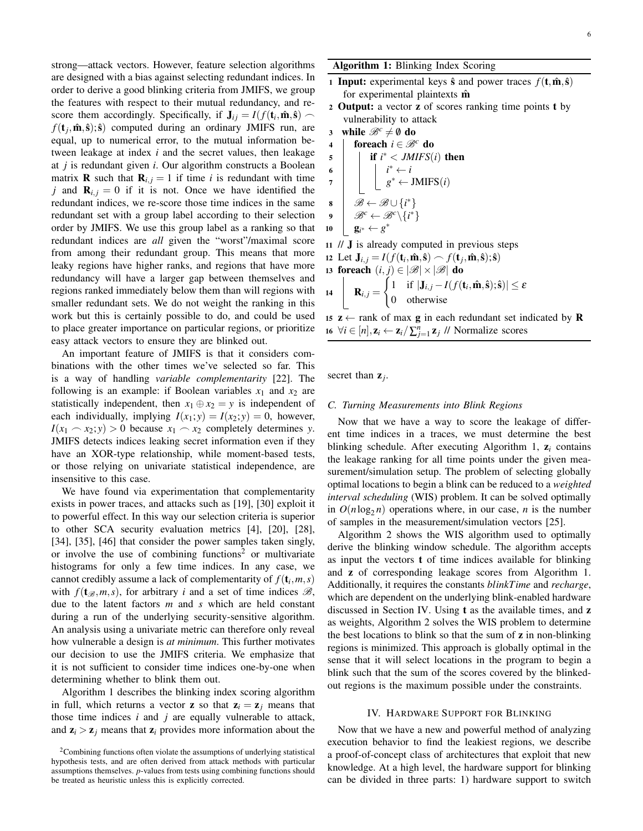strong—attack vectors. However, feature selection algorithms are designed with a bias against selecting redundant indices. In order to derive a good blinking criteria from JMIFS, we group the features with respect to their mutual redundancy, and rescore them accordingly. Specifically, if  $J_{ij} = I(f(t_i, \hat{\mathbf{m}}, \hat{\mathbf{s}}))$  $f(\mathbf{t}_j, \hat{\mathbf{m}}, \hat{\mathbf{s}})$ ;  $\hat{\mathbf{s}}$  computed during an ordinary JMIFS run, are equal, up to numerical error, to the mutual information between leakage at index *i* and the secret values, then leakage at *j* is redundant given *i*. Our algorithm constructs a Boolean matrix **R** such that  $\mathbf{R}_{i,j} = 1$  if time *i* is redundant with time *j* and  $\mathbf{R}_{i,j} = 0$  if it is not. Once we have identified the redundant indices, we re-score those time indices in the same redundant set with a group label according to their selection order by JMIFS. We use this group label as a ranking so that redundant indices are *all* given the "worst"/maximal score from among their redundant group. This means that more leaky regions have higher ranks, and regions that have more redundancy will have a larger gap between themselves and regions ranked immediately below them than will regions with smaller redundant sets. We do not weight the ranking in this work but this is certainly possible to do, and could be used to place greater importance on particular regions, or prioritize easy attack vectors to ensure they are blinked out.

An important feature of JMIFS is that it considers combinations with the other times we've selected so far. This is a way of handling *variable complementarity* [22]. The following is an example: if Boolean variables  $x_1$  and  $x_2$  are statistically independent, then  $x_1 \oplus x_2 = y$  is independent of each individually, implying  $I(x_1; y) = I(x_2; y) = 0$ , however,  $I(x_1 \sim x_2; y) > 0$  because  $x_1 \sim x_2$  completely determines *y*. JMIFS detects indices leaking secret information even if they have an XOR-type relationship, while moment-based tests, or those relying on univariate statistical independence, are insensitive to this case.

We have found via experimentation that complementarity exists in power traces, and attacks such as [19], [30] exploit it to powerful effect. In this way our selection criteria is superior to other SCA security evaluation metrics [4], [20], [28], [34], [35], [46] that consider the power samples taken singly, or involve the use of combining functions<sup>2</sup> or multivariate histograms for only a few time indices. In any case, we cannot credibly assume a lack of complementarity of  $f(\mathbf{t}_i, m, s)$ with  $f(t_{\mathscr{B}},m,s)$ , for arbitrary *i* and a set of time indices  $\mathscr{B}$ , due to the latent factors *m* and *s* which are held constant during a run of the underlying security-sensitive algorithm. An analysis using a univariate metric can therefore only reveal how vulnerable a design is *at minimum*. This further motivates our decision to use the JMIFS criteria. We emphasize that it is not sufficient to consider time indices one-by-one when determining whether to blink them out.

Algorithm 1 describes the blinking index scoring algorithm in full, which returns a vector **z** so that  $z_i = z_j$  means that those time indices  $i$  and  $j$  are equally vulnerable to attack, and  $z_i > z_j$  means that  $z_i$  provides more information about the Algorithm 1: Blinking Index Scoring

- 1 Input: experimental keys  $\hat{\mathbf{s}}$  and power traces  $f(\mathbf{t}, \hat{\mathbf{m}}, \hat{\mathbf{s}})$ for experimental plaintexts  $\hat{m}$
- <sup>2</sup> Output: a vector z of scores ranking time points t by vulnerability to attack
- 3 while  $\mathcal{B}^c \neq \emptyset$  do
- 4 **foreach**  $i \in \mathcal{B}^c$  do

5  
\n6  
\n7  
\n8  
\n9  
\n
$$
\begin{array}{c}\n\text{if } i^* < JMIFS(i) \text{ then } \\
\downarrow i^* \leftarrow i \\
g^* \leftarrow JMIFS(i) \\
g^* \leftarrow JMIFS(i) \\
g^* \leftarrow g^*(\downarrow i^*) \\
\text{g}^* \leftarrow g^* \\
\end{array}
$$

- <sup>11</sup> // J is already computed in previous steps
- 12 Let  $\mathbf{J}_{i,j} = I(f(\mathbf{t}_i, \hat{\mathbf{m}}, \hat{\mathbf{s}})) \frown f(\mathbf{t}_j, \hat{\mathbf{m}}, \hat{\mathbf{s}}); \hat{\mathbf{s}})$ 13 foreach  $(i, j) \in |\mathscr{B}| \times |\mathscr{B}|$  do 14 |  $\mathbf{R}_{i,j} =$  $\int 1$  if  $|\mathbf{J}_{i,j} - I(f(\mathbf{t}_i, \hat{\mathbf{m}}, \hat{\mathbf{s}}); \hat{\mathbf{s}})| \leq \varepsilon$ 0 otherwise

15  $z \leftarrow$  rank of max **g** in each redundant set indicated by **R** 16  $\forall i \in [n], \mathbf{z}_i \leftarrow \mathbf{z}_i / \sum_{j=1}^n \mathbf{z}_j$  // Normalize scores

secret than  $z_j$ .

### *C. Turning Measurements into Blink Regions*

Now that we have a way to score the leakage of different time indices in a traces, we must determine the best blinking schedule. After executing Algorithm 1, z*<sup>i</sup>* contains the leakage ranking for all time points under the given measurement/simulation setup. The problem of selecting globally optimal locations to begin a blink can be reduced to a *weighted interval scheduling* (WIS) problem. It can be solved optimally in  $O(n \log_2 n)$  operations where, in our case, *n* is the number of samples in the measurement/simulation vectors [25].

Algorithm 2 shows the WIS algorithm used to optimally derive the blinking window schedule. The algorithm accepts as input the vectors t of time indices available for blinking and z of corresponding leakage scores from Algorithm 1. Additionally, it requires the constants *blinkTime* and *recharge*, which are dependent on the underlying blink-enabled hardware discussed in Section IV. Using **t** as the available times, and **z** as weights, Algorithm 2 solves the WIS problem to determine the best locations to blink so that the sum of z in non-blinking regions is minimized. This approach is globally optimal in the sense that it will select locations in the program to begin a blink such that the sum of the scores covered by the blinkedout regions is the maximum possible under the constraints.

# IV. HARDWARE SUPPORT FOR BLINKING

Now that we have a new and powerful method of analyzing execution behavior to find the leakiest regions, we describe a proof-of-concept class of architectures that exploit that new knowledge. At a high level, the hardware support for blinking can be divided in three parts: 1) hardware support to switch

<sup>&</sup>lt;sup>2</sup>Combining functions often violate the assumptions of underlying statistical hypothesis tests, and are often derived from attack methods with particular assumptions themselves. *p*-values from tests using combining functions should be treated as heuristic unless this is explicitly corrected.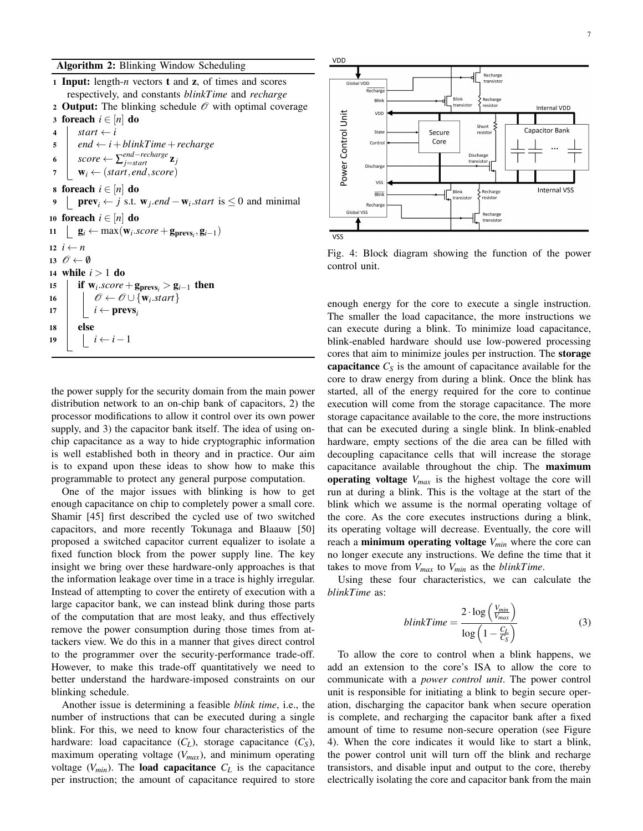Input: length-*n* vectors t and z, of times and scores respectively, and constants *blinkTime* and *recharge* 2 Output: The blinking schedule  $\mathcal O$  with optimal coverage 3 foreach  $i \in [n]$  do  $start \leftarrow i$  $\vert$  end  $\leftarrow i + \text{blinkTime} + \text{recharge}$  $\mathbf{s} \in \mathcal{S}$  *score*  $\leftarrow \sum_{j=start}^{end-recharge} \mathbf{z}_j$  $7 \mid \mathbf{w}_i \leftarrow (start, end, score)$ 8 foreach  $i \in [n]$  do **prev**<sub>i</sub> ← *j* s.t.  $\mathbf{w}_j$ .*end* −  $\mathbf{w}_i$ .*start* is ≤ 0 and minimal **foreach**  $i \in [n]$  **do**  $g_i \leftarrow \max(\mathbf{w}_i \cdot \text{score} + \mathbf{g}_{\text{prevs}_i}, \mathbf{g}_{i-1})$  $i \leftarrow n$  $\mathscr{O} \leftarrow \emptyset$  while *i* > 1 do **if**  $w_i$ . *score* +  $g_{\text{prevs}_i} > g_{i-1}$  then  $\bigcup \mathscr{O} \leftarrow \mathscr{O} \cup \{\mathbf{w}_i.start\}$ *i* ← prevs<sub>*i*</sub> 18 else  $|i \leftarrow i-1$ 

the power supply for the security domain from the main power distribution network to an on-chip bank of capacitors, 2) the processor modifications to allow it control over its own power supply, and 3) the capacitor bank itself. The idea of using onchip capacitance as a way to hide cryptographic information is well established both in theory and in practice. Our aim is to expand upon these ideas to show how to make this programmable to protect any general purpose computation.

One of the major issues with blinking is how to get enough capacitance on chip to completely power a small core. Shamir [45] first described the cycled use of two switched capacitors, and more recently Tokunaga and Blaauw [50] proposed a switched capacitor current equalizer to isolate a fixed function block from the power supply line. The key insight we bring over these hardware-only approaches is that the information leakage over time in a trace is highly irregular. Instead of attempting to cover the entirety of execution with a large capacitor bank, we can instead blink during those parts of the computation that are most leaky, and thus effectively remove the power consumption during those times from attackers view. We do this in a manner that gives direct control to the programmer over the security-performance trade-off. However, to make this trade-off quantitatively we need to better understand the hardware-imposed constraints on our blinking schedule.

Another issue is determining a feasible *blink time*, i.e., the number of instructions that can be executed during a single blink. For this, we need to know four characteristics of the hardware: load capacitance  $(C_L)$ , storage capacitance  $(C_S)$ , maximum operating voltage (*Vmax*), and minimum operating voltage  $(V_{min})$ . The **load capacitance**  $C_L$  is the capacitance per instruction; the amount of capacitance required to store



Fig. 4: Block diagram showing the function of the power control unit.

enough energy for the core to execute a single instruction. The smaller the load capacitance, the more instructions we can execute during a blink. To minimize load capacitance, blink-enabled hardware should use low-powered processing cores that aim to minimize joules per instruction. The storage capacitance  $C_S$  is the amount of capacitance available for the core to draw energy from during a blink. Once the blink has started, all of the energy required for the core to continue execution will come from the storage capacitance. The more storage capacitance available to the core, the more instructions that can be executed during a single blink. In blink-enabled hardware, empty sections of the die area can be filled with decoupling capacitance cells that will increase the storage capacitance available throughout the chip. The maximum operating voltage *Vmax* is the highest voltage the core will run at during a blink. This is the voltage at the start of the blink which we assume is the normal operating voltage of the core. As the core executes instructions during a blink, its operating voltage will decrease. Eventually, the core will reach a minimum operating voltage *Vmin* where the core can no longer execute any instructions. We define the time that it takes to move from  $V_{max}$  to  $V_{min}$  as the *blinkTime*.

Using these four characteristics, we can calculate the *blinkTime* as:

$$
blinkTime = \frac{2 \cdot \log\left(\frac{V_{min}}{V_{max}}\right)}{\log\left(1 - \frac{C_L}{C_S}\right)}\tag{3}
$$

To allow the core to control when a blink happens, we add an extension to the core's ISA to allow the core to communicate with a *power control unit*. The power control unit is responsible for initiating a blink to begin secure operation, discharging the capacitor bank when secure operation is complete, and recharging the capacitor bank after a fixed amount of time to resume non-secure operation (see Figure 4). When the core indicates it would like to start a blink, the power control unit will turn off the blink and recharge transistors, and disable input and output to the core, thereby electrically isolating the core and capacitor bank from the main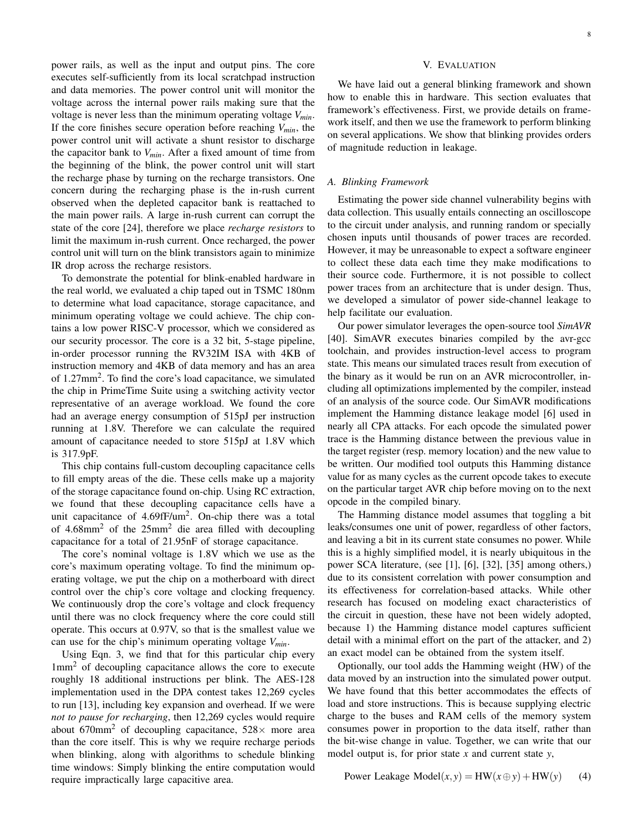power rails, as well as the input and output pins. The core executes self-sufficiently from its local scratchpad instruction and data memories. The power control unit will monitor the voltage across the internal power rails making sure that the voltage is never less than the minimum operating voltage *Vmin*. If the core finishes secure operation before reaching *Vmin*, the power control unit will activate a shunt resistor to discharge the capacitor bank to *Vmin*. After a fixed amount of time from the beginning of the blink, the power control unit will start the recharge phase by turning on the recharge transistors. One concern during the recharging phase is the in-rush current observed when the depleted capacitor bank is reattached to the main power rails. A large in-rush current can corrupt the state of the core [24], therefore we place *recharge resistors* to limit the maximum in-rush current. Once recharged, the power control unit will turn on the blink transistors again to minimize IR drop across the recharge resistors.

To demonstrate the potential for blink-enabled hardware in the real world, we evaluated a chip taped out in TSMC 180nm to determine what load capacitance, storage capacitance, and minimum operating voltage we could achieve. The chip contains a low power RISC-V processor, which we considered as our security processor. The core is a 32 bit, 5-stage pipeline, in-order processor running the RV32IM ISA with 4KB of instruction memory and 4KB of data memory and has an area of 1.27mm<sup>2</sup>. To find the core's load capacitance, we simulated the chip in PrimeTime Suite using a switching activity vector representative of an average workload. We found the core had an average energy consumption of 515pJ per instruction running at 1.8V. Therefore we can calculate the required amount of capacitance needed to store 515pJ at 1.8V which is 317.9pF.

This chip contains full-custom decoupling capacitance cells to fill empty areas of the die. These cells make up a majority of the storage capacitance found on-chip. Using RC extraction, we found that these decoupling capacitance cells have a unit capacitance of  $4.69$ fF/um<sup>2</sup>. On-chip there was a total of  $4.68$ mm<sup>2</sup> of the  $25$ mm<sup>2</sup> die area filled with decoupling capacitance for a total of 21.95nF of storage capacitance.

The core's nominal voltage is 1.8V which we use as the core's maximum operating voltage. To find the minimum operating voltage, we put the chip on a motherboard with direct control over the chip's core voltage and clocking frequency. We continuously drop the core's voltage and clock frequency until there was no clock frequency where the core could still operate. This occurs at 0.97V, so that is the smallest value we can use for the chip's minimum operating voltage *Vmin*.

Using Eqn. 3, we find that for this particular chip every 1mm<sup>2</sup> of decoupling capacitance allows the core to execute roughly 18 additional instructions per blink. The AES-128 implementation used in the DPA contest takes 12,269 cycles to run [13], including key expansion and overhead. If we were *not to pause for recharging*, then 12,269 cycles would require about 670mm<sup>2</sup> of decoupling capacitance,  $528\times$  more area than the core itself. This is why we require recharge periods when blinking, along with algorithms to schedule blinking time windows: Simply blinking the entire computation would require impractically large capacitive area.

#### V. EVALUATION

We have laid out a general blinking framework and shown how to enable this in hardware. This section evaluates that framework's effectiveness. First, we provide details on framework itself, and then we use the framework to perform blinking on several applications. We show that blinking provides orders of magnitude reduction in leakage.

### *A. Blinking Framework*

Estimating the power side channel vulnerability begins with data collection. This usually entails connecting an oscilloscope to the circuit under analysis, and running random or specially chosen inputs until thousands of power traces are recorded. However, it may be unreasonable to expect a software engineer to collect these data each time they make modifications to their source code. Furthermore, it is not possible to collect power traces from an architecture that is under design. Thus, we developed a simulator of power side-channel leakage to help facilitate our evaluation.

Our power simulator leverages the open-source tool *SimAVR* [40]. SimAVR executes binaries compiled by the avr-gcc toolchain, and provides instruction-level access to program state. This means our simulated traces result from execution of the binary as it would be run on an AVR microcontroller, including all optimizations implemented by the compiler, instead of an analysis of the source code. Our SimAVR modifications implement the Hamming distance leakage model [6] used in nearly all CPA attacks. For each opcode the simulated power trace is the Hamming distance between the previous value in the target register (resp. memory location) and the new value to be written. Our modified tool outputs this Hamming distance value for as many cycles as the current opcode takes to execute on the particular target AVR chip before moving on to the next opcode in the compiled binary.

The Hamming distance model assumes that toggling a bit leaks/consumes one unit of power, regardless of other factors, and leaving a bit in its current state consumes no power. While this is a highly simplified model, it is nearly ubiquitous in the power SCA literature, (see [1], [6], [32], [35] among others,) due to its consistent correlation with power consumption and its effectiveness for correlation-based attacks. While other research has focused on modeling exact characteristics of the circuit in question, these have not been widely adopted, because 1) the Hamming distance model captures sufficient detail with a minimal effort on the part of the attacker, and 2) an exact model can be obtained from the system itself.

Optionally, our tool adds the Hamming weight (HW) of the data moved by an instruction into the simulated power output. We have found that this better accommodates the effects of load and store instructions. This is because supplying electric charge to the buses and RAM cells of the memory system consumes power in proportion to the data itself, rather than the bit-wise change in value. Together, we can write that our model output is, for prior state *x* and current state *y*,

Power Leakage Model
$$
(x, y) = HW(x \oplus y) + HW(y)
$$
 (4)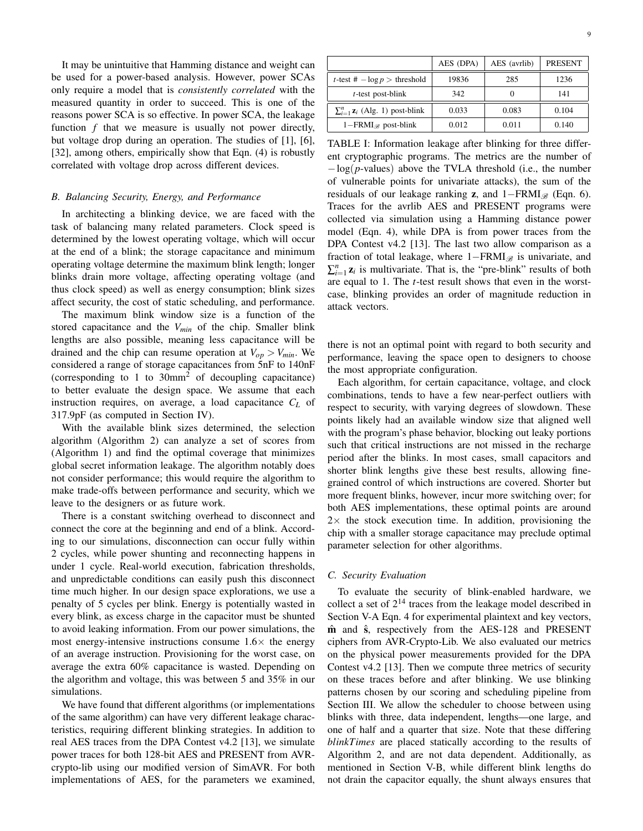It may be unintuitive that Hamming distance and weight can be used for a power-based analysis. However, power SCAs only require a model that is *consistently correlated* with the measured quantity in order to succeed. This is one of the reasons power SCA is so effective. In power SCA, the leakage function  $f$  that we measure is usually not power directly, but voltage drop during an operation. The studies of [1], [6], [32], among others, empirically show that Eqn. (4) is robustly correlated with voltage drop across different devices.

# *B. Balancing Security, Energy, and Performance*

In architecting a blinking device, we are faced with the task of balancing many related parameters. Clock speed is determined by the lowest operating voltage, which will occur at the end of a blink; the storage capacitance and minimum operating voltage determine the maximum blink length; longer blinks drain more voltage, affecting operating voltage (and thus clock speed) as well as energy consumption; blink sizes affect security, the cost of static scheduling, and performance.

The maximum blink window size is a function of the stored capacitance and the *Vmin* of the chip. Smaller blink lengths are also possible, meaning less capacitance will be drained and the chip can resume operation at  $V_{op} > V_{min}$ . We considered a range of storage capacitances from 5nF to 140nF (corresponding to 1 to  $30mm^2$  of decoupling capacitance) to better evaluate the design space. We assume that each instruction requires, on average, a load capacitance *C<sup>L</sup>* of 317.9pF (as computed in Section IV).

With the available blink sizes determined, the selection algorithm (Algorithm 2) can analyze a set of scores from (Algorithm 1) and find the optimal coverage that minimizes global secret information leakage. The algorithm notably does not consider performance; this would require the algorithm to make trade-offs between performance and security, which we leave to the designers or as future work.

There is a constant switching overhead to disconnect and connect the core at the beginning and end of a blink. According to our simulations, disconnection can occur fully within 2 cycles, while power shunting and reconnecting happens in under 1 cycle. Real-world execution, fabrication thresholds, and unpredictable conditions can easily push this disconnect time much higher. In our design space explorations, we use a penalty of 5 cycles per blink. Energy is potentially wasted in every blink, as excess charge in the capacitor must be shunted to avoid leaking information. From our power simulations, the most energy-intensive instructions consume  $1.6\times$  the energy of an average instruction. Provisioning for the worst case, on average the extra 60% capacitance is wasted. Depending on the algorithm and voltage, this was between 5 and 35% in our simulations.

We have found that different algorithms (or implementations of the same algorithm) can have very different leakage characteristics, requiring different blinking strategies. In addition to real AES traces from the DPA Contest v4.2 [13], we simulate power traces for both 128-bit AES and PRESENT from AVRcrypto-lib using our modified version of SimAVR. For both implementations of AES, for the parameters we examined,

|                                          | AES (DPA) | AES (avrlib) | <b>PRESENT</b> |
|------------------------------------------|-----------|--------------|----------------|
| <i>t</i> -test # $-\log p$ > threshold   | 19836     | 285          | 1236           |
| $t$ -test post-blink                     | 342       |              | 141            |
| $\sum_{i=1}^{n} z_i$ (Alg. 1) post-blink | 0.033     | 0.083        | 0.104          |
| $1 - FRMI_{\mathscr{R}}$ post-blink      | 0.012     | 0.011        | 0.140          |

TABLE I: Information leakage after blinking for three different cryptographic programs. The metrics are the number of −log(*p*-values) above the TVLA threshold (i.e., the number of vulnerable points for univariate attacks), the sum of the residuals of our leakage ranking **z**, and  $1 - FRMI_{\mathscr{B}}$  (Eqn. 6). Traces for the avrlib AES and PRESENT programs were collected via simulation using a Hamming distance power model (Eqn. 4), while DPA is from power traces from the DPA Contest v4.2 [13]. The last two allow comparison as a fraction of total leakage, where  $1 - FRMI_{\mathcal{B}}$  is univariate, and  $\sum_{i=1}^{n} z_i$  is multivariate. That is, the "pre-blink" results of both are equal to 1. The *t*-test result shows that even in the worstcase, blinking provides an order of magnitude reduction in attack vectors.

there is not an optimal point with regard to both security and performance, leaving the space open to designers to choose the most appropriate configuration.

Each algorithm, for certain capacitance, voltage, and clock combinations, tends to have a few near-perfect outliers with respect to security, with varying degrees of slowdown. These points likely had an available window size that aligned well with the program's phase behavior, blocking out leaky portions such that critical instructions are not missed in the recharge period after the blinks. In most cases, small capacitors and shorter blink lengths give these best results, allowing finegrained control of which instructions are covered. Shorter but more frequent blinks, however, incur more switching over; for both AES implementations, these optimal points are around  $2\times$  the stock execution time. In addition, provisioning the chip with a smaller storage capacitance may preclude optimal parameter selection for other algorithms.

#### *C. Security Evaluation*

To evaluate the security of blink-enabled hardware, we collect a set of  $2^{14}$  traces from the leakage model described in Section V-A Eqn. 4 for experimental plaintext and key vectors, m̂ and  $\hat{s}$ , respectively from the AES-128 and PRESENT ciphers from AVR-Crypto-Lib. We also evaluated our metrics on the physical power measurements provided for the DPA Contest v4.2 [13]. Then we compute three metrics of security on these traces before and after blinking. We use blinking patterns chosen by our scoring and scheduling pipeline from Section III. We allow the scheduler to choose between using blinks with three, data independent, lengths—one large, and one of half and a quarter that size. Note that these differing *blinkTimes* are placed statically according to the results of Algorithm 2, and are not data dependent. Additionally, as mentioned in Section V-B, while different blink lengths do not drain the capacitor equally, the shunt always ensures that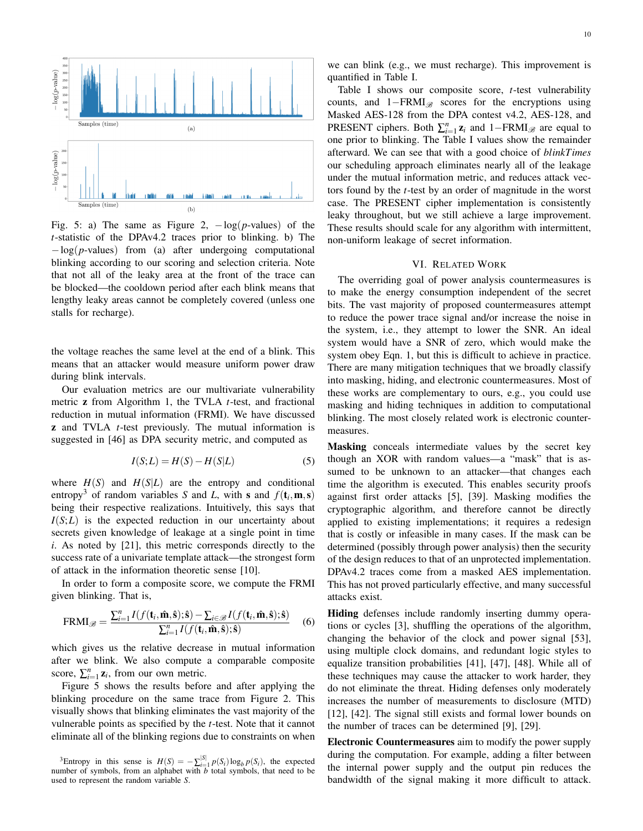

Fig. 5: a) The same as Figure 2,  $-\log(p$ -values) of the *t*-statistic of the DPAv4.2 traces prior to blinking. b) The −log(*p*-values) from (a) after undergoing computational blinking according to our scoring and selection criteria. Note that not all of the leaky area at the front of the trace can be blocked—the cooldown period after each blink means that lengthy leaky areas cannot be completely covered (unless one stalls for recharge).

the voltage reaches the same level at the end of a blink. This means that an attacker would measure uniform power draw during blink intervals.

Our evaluation metrics are our multivariate vulnerability metric z from Algorithm 1, the TVLA *t*-test, and fractional reduction in mutual information (FRMI). We have discussed z and TVLA *t*-test previously. The mutual information is suggested in [46] as DPA security metric, and computed as

$$
I(S;L) = H(S) - H(S|L)
$$
\n<sup>(5)</sup>

where  $H(S)$  and  $H(S|L)$  are the entropy and conditional entropy<sup>3</sup> of random variables *S* and *L*, with **s** and  $f(t_i, \mathbf{m}, \mathbf{s})$ being their respective realizations. Intuitively, this says that  $I(S;L)$  is the expected reduction in our uncertainty about secrets given knowledge of leakage at a single point in time *i*. As noted by [21], this metric corresponds directly to the success rate of a univariate template attack—the strongest form of attack in the information theoretic sense [10].

In order to form a composite score, we compute the FRMI given blinking. That is,

$$
\text{FRMI}_{\mathscr{B}} = \frac{\sum_{i=1}^{n} I(f(\mathbf{t}_i, \hat{\mathbf{m}}, \hat{\mathbf{s}}); \hat{\mathbf{s}}) - \sum_{i \in \mathscr{B}} I(f(\mathbf{t}_i, \hat{\mathbf{m}}, \hat{\mathbf{s}}); \hat{\mathbf{s}})}{\sum_{i=1}^{n} I(f(\mathbf{t}_i, \hat{\mathbf{m}}, \hat{\mathbf{s}}); \hat{\mathbf{s}})} \tag{6}
$$

which gives us the relative decrease in mutual information after we blink. We also compute a comparable composite score,  $\sum_{i=1}^{n} z_i$ , from our own metric.

Figure 5 shows the results before and after applying the blinking procedure on the same trace from Figure 2. This visually shows that blinking eliminates the vast majority of the vulnerable points as specified by the *t*-test. Note that it cannot eliminate all of the blinking regions due to constraints on when

we can blink (e.g., we must recharge). This improvement is quantified in Table I.

Table I shows our composite score, *t*-test vulnerability counts, and  $1-FRMI_{\mathscr{B}}$  scores for the encryptions using Masked AES-128 from the DPA contest v4.2, AES-128, and PRESENT ciphers. Both  $\sum_{i=1}^{n} z_i$  and 1–FRMI<sub>*®*</sub> are equal to one prior to blinking. The Table I values show the remainder afterward. We can see that with a good choice of *blinkTimes* our scheduling approach eliminates nearly all of the leakage under the mutual information metric, and reduces attack vectors found by the *t*-test by an order of magnitude in the worst case. The PRESENT cipher implementation is consistently leaky throughout, but we still achieve a large improvement. These results should scale for any algorithm with intermittent, non-uniform leakage of secret information.

#### VI. RELATED WORK

The overriding goal of power analysis countermeasures is to make the energy consumption independent of the secret bits. The vast majority of proposed countermeasures attempt to reduce the power trace signal and/or increase the noise in the system, i.e., they attempt to lower the SNR. An ideal system would have a SNR of zero, which would make the system obey Eqn. 1, but this is difficult to achieve in practice. There are many mitigation techniques that we broadly classify into masking, hiding, and electronic countermeasures. Most of these works are complementary to ours, e.g., you could use masking and hiding techniques in addition to computational blinking. The most closely related work is electronic countermeasures.

Masking conceals intermediate values by the secret key though an XOR with random values—a "mask" that is assumed to be unknown to an attacker—that changes each time the algorithm is executed. This enables security proofs against first order attacks [5], [39]. Masking modifies the cryptographic algorithm, and therefore cannot be directly applied to existing implementations; it requires a redesign that is costly or infeasible in many cases. If the mask can be determined (possibly through power analysis) then the security of the design reduces to that of an unprotected implementation. DPAv4.2 traces come from a masked AES implementation. This has not proved particularly effective, and many successful attacks exist.

Hiding defenses include randomly inserting dummy operations or cycles [3], shuffling the operations of the algorithm, changing the behavior of the clock and power signal [53], using multiple clock domains, and redundant logic styles to equalize transition probabilities [41], [47], [48]. While all of these techniques may cause the attacker to work harder, they do not eliminate the threat. Hiding defenses only moderately increases the number of measurements to disclosure (MTD) [12], [42]. The signal still exists and formal lower bounds on the number of traces can be determined [9], [29].

Electronic Countermeasures aim to modify the power supply during the computation. For example, adding a filter between the internal power supply and the output pin reduces the bandwidth of the signal making it more difficult to attack.

<sup>&</sup>lt;sup>3</sup>Entropy in this sense is  $H(S) = -\sum_{i=1}^{|S|} p(S_i) \log_b p(S_i)$ , the expected number of symbols, from an alphabet with *b* total symbols, that need to be used to represent the random variable *S*.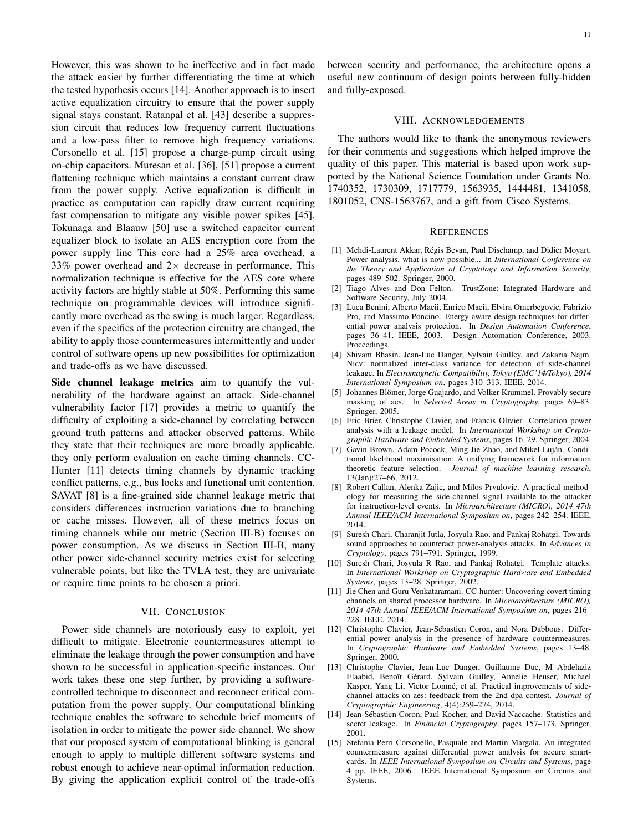However, this was shown to be ineffective and in fact made the attack easier by further differentiating the time at which the tested hypothesis occurs [14]. Another approach is to insert active equalization circuitry to ensure that the power supply signal stays constant. Ratanpal et al. [43] describe a suppression circuit that reduces low frequency current fluctuations and a low-pass filter to remove high frequency variations. Corsonello et al. [15] propose a charge-pump circuit using on-chip capacitors. Muresan et al. [36], [51] propose a current flattening technique which maintains a constant current draw from the power supply. Active equalization is difficult in practice as computation can rapidly draw current requiring fast compensation to mitigate any visible power spikes [45]. Tokunaga and Blaauw [50] use a switched capacitor current equalizer block to isolate an AES encryption core from the power supply line This core had a 25% area overhead, a 33% power overhead and  $2 \times$  decrease in performance. This normalization technique is effective for the AES core where activity factors are highly stable at 50%. Performing this same technique on programmable devices will introduce significantly more overhead as the swing is much larger. Regardless, even if the specifics of the protection circuitry are changed, the ability to apply those countermeasures intermittently and under control of software opens up new possibilities for optimization and trade-offs as we have discussed.

Side channel leakage metrics aim to quantify the vulnerability of the hardware against an attack. Side-channel vulnerability factor [17] provides a metric to quantify the difficulty of exploiting a side-channel by correlating between ground truth patterns and attacker observed patterns. While they state that their techniques are more broadly applicable, they only perform evaluation on cache timing channels. CC-Hunter [11] detects timing channels by dynamic tracking conflict patterns, e.g., bus locks and functional unit contention. SAVAT [8] is a fine-grained side channel leakage metric that considers differences instruction variations due to branching or cache misses. However, all of these metrics focus on timing channels while our metric (Section III-B) focuses on power consumption. As we discuss in Section III-B, many other power side-channel security metrics exist for selecting vulnerable points, but like the TVLA test, they are univariate or require time points to be chosen a priori.

# VII. CONCLUSION

Power side channels are notoriously easy to exploit, yet difficult to mitigate. Electronic countermeasures attempt to eliminate the leakage through the power consumption and have shown to be successful in application-specific instances. Our work takes these one step further, by providing a softwarecontrolled technique to disconnect and reconnect critical computation from the power supply. Our computational blinking technique enables the software to schedule brief moments of isolation in order to mitigate the power side channel. We show that our proposed system of computational blinking is general enough to apply to multiple different software systems and robust enough to achieve near-optimal information reduction. By giving the application explicit control of the trade-offs

between security and performance, the architecture opens a useful new continuum of design points between fully-hidden and fully-exposed.

### VIII. ACKNOWLEDGEMENTS

The authors would like to thank the anonymous reviewers for their comments and suggestions which helped improve the quality of this paper. This material is based upon work supported by the National Science Foundation under Grants No. 1740352, 1730309, 1717779, 1563935, 1444481, 1341058, 1801052, CNS-1563767, and a gift from Cisco Systems.

#### REFERENCES

- [1] Mehdi-Laurent Akkar, Régis Bevan, Paul Dischamp, and Didier Moyart. Power analysis, what is now possible... In *International Conference on the Theory and Application of Cryptology and Information Security*, pages 489–502. Springer, 2000.
- [2] Tiago Alves and Don Felton. TrustZone: Integrated Hardware and Software Security, July 2004.
- [3] Luca Benini, Alberto Macii, Enrico Macii, Elvira Omerbegovic, Fabrizio Pro, and Massimo Poncino. Energy-aware design techniques for differential power analysis protection. In *Design Automation Conference*, pages 36–41. IEEE, 2003. Design Automation Conference, 2003. Proceedings.
- [4] Shivam Bhasin, Jean-Luc Danger, Sylvain Guilley, and Zakaria Najm. Nicv: normalized inter-class variance for detection of side-channel leakage. In *Electromagnetic Compatibility, Tokyo (EMC'14/Tokyo), 2014 International Symposium on*, pages 310–313. IEEE, 2014.
- [5] Johannes Blömer, Jorge Guajardo, and Volker Krummel. Provably secure masking of aes. In *Selected Areas in Cryptography*, pages 69–83. Springer, 2005.
- [6] Eric Brier, Christophe Clavier, and Francis Olivier. Correlation power analysis with a leakage model. In *International Workshop on Cryptographic Hardware and Embedded Systems*, pages 16–29. Springer, 2004.
- [7] Gavin Brown, Adam Pocock, Ming-Jie Zhao, and Mikel Luján. Conditional likelihood maximisation: A unifying framework for information theoretic feature selection. *Journal of machine learning research*, 13(Jan):27–66, 2012.
- [8] Robert Callan, Alenka Zajic, and Milos Prvulovic. A practical methodology for measuring the side-channel signal available to the attacker for instruction-level events. In *Microarchitecture (MICRO), 2014 47th Annual IEEE/ACM International Symposium on*, pages 242–254. IEEE, 2014.
- [9] Suresh Chari, Charanjit Jutla, Josyula Rao, and Pankaj Rohatgi. Towards sound approaches to counteract power-analysis attacks. In *Advances in Cryptology*, pages 791–791. Springer, 1999.
- [10] Suresh Chari, Josyula R Rao, and Pankaj Rohatgi. Template attacks. In *International Workshop on Cryptographic Hardware and Embedded Systems*, pages 13–28. Springer, 2002.
- [11] Jie Chen and Guru Venkataramani. CC-hunter: Uncovering covert timing channels on shared processor hardware. In *Microarchitecture (MICRO), 2014 47th Annual IEEE/ACM International Symposium on*, pages 216– 228. IEEE, 2014.
- [12] Christophe Clavier, Jean-Sébastien Coron, and Nora Dabbous. Differential power analysis in the presence of hardware countermeasures. In *Cryptographic Hardware and Embedded Systems*, pages 13–48. Springer, 2000.
- [13] Christophe Clavier, Jean-Luc Danger, Guillaume Duc, M Abdelaziz Elaabid, Benoît Gérard, Sylvain Guilley, Annelie Heuser, Michael Kasper, Yang Li, Victor Lomné, et al. Practical improvements of sidechannel attacks on aes: feedback from the 2nd dpa contest. *Journal of Cryptographic Engineering*, 4(4):259–274, 2014.
- [14] Jean-Sébasticn Coron, Paul Kocher, and David Naccache. Statistics and secret leakage. In *Financial Cryptography*, pages 157–173. Springer, 2001.
- [15] Stefania Perri Corsonello, Pasquale and Martin Margala. An integrated countermeasure against differential power analysis for secure smartcards. In *IEEE International Symposium on Circuits and Systems*, page 4 pp. IEEE, 2006. IEEE International Symposium on Circuits and Systems.